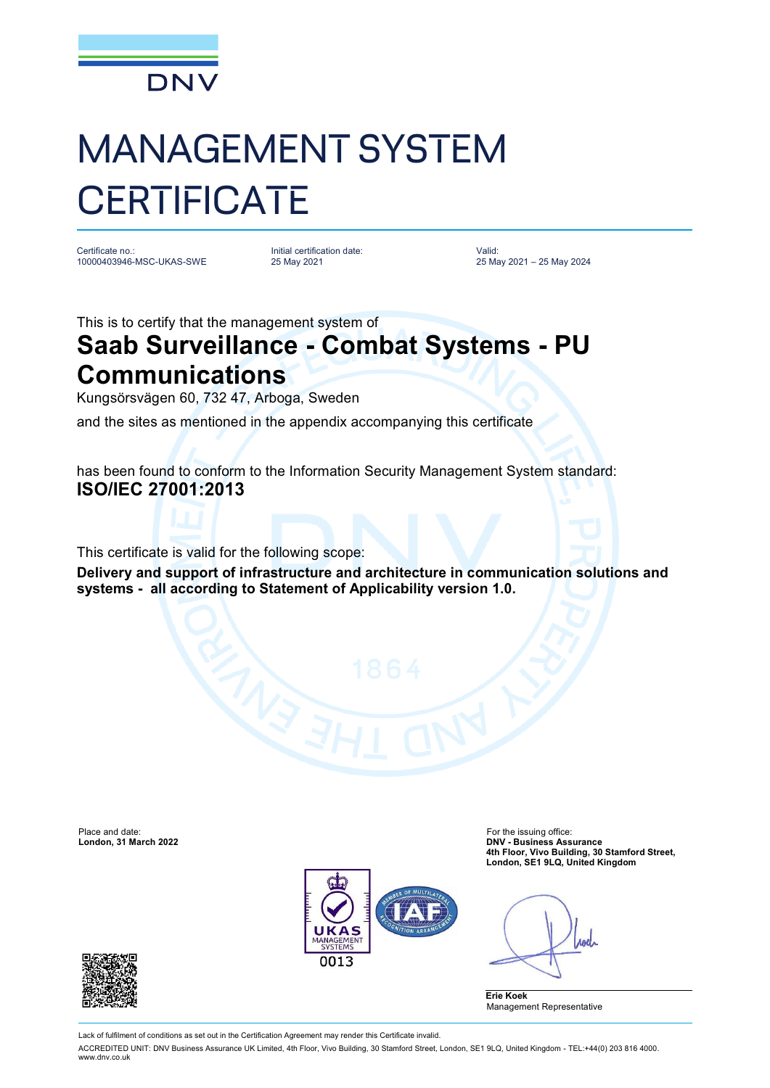

## MANAGEMENT SYSTEM **CERTIFICATE**

Certificate no.: 10000403946-MSC-UKAS-SWE Initial certification date: 25 May 2021

Valid: 25 May 2021 – 25 May 2024

This is to certify that the management system of

## **Saab Surveillance - Combat Systems - PU Communications**

Kungsörsvägen 60, 732 47, Arboga, Sweden

and the sites as mentioned in the appendix accompanying this certificate

has been found to conform to the Information Security Management System standard: **ISO/IEC 27001:2013**

This certificate is valid for the following scope:

**Delivery and support of infrastructure and architecture in communication solutions and systems - all according to Statement of Applicability version 1.0.**



Place and date: For the issuing office: **London, 31 March 2022 DNV - Business Assurance 4th Floor, Vivo Building, 30 Stamford Street, London, SE1 9LQ, United Kingdom**

*<u>rod</u>* 





Lack of fulfilment of conditions as set out in the Certification Agreement may render this Certificate invalid.

ACCREDITED UNIT: DNV Business Assurance UK Limited, 4th Floor, Vivo Building, 30 Stamford Street, London, SE1 9LQ, United Kingdom - TEL:+44(0) 203 816 4000. [www.dnv.co.uk](http://www.dnv.co.uk)